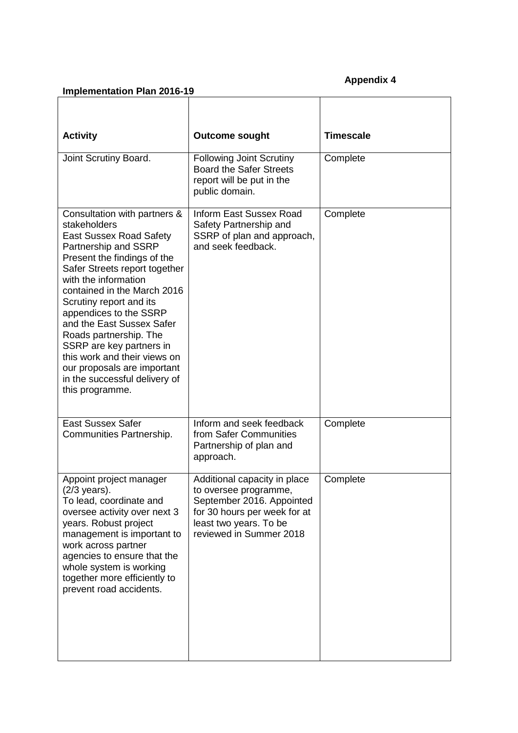## **Appendix 4**

## **Implementation Plan 2016-19**

| <b>Activity</b>                                                                                                                                                                                                                                                                                                                                                                                                                                                                          | <b>Outcome sought</b>                                                                                                                                                   | <b>Timescale</b> |
|------------------------------------------------------------------------------------------------------------------------------------------------------------------------------------------------------------------------------------------------------------------------------------------------------------------------------------------------------------------------------------------------------------------------------------------------------------------------------------------|-------------------------------------------------------------------------------------------------------------------------------------------------------------------------|------------------|
| Joint Scrutiny Board.                                                                                                                                                                                                                                                                                                                                                                                                                                                                    | <b>Following Joint Scrutiny</b><br><b>Board the Safer Streets</b><br>report will be put in the<br>public domain.                                                        | Complete         |
| Consultation with partners &<br>stakeholders<br><b>East Sussex Road Safety</b><br>Partnership and SSRP<br>Present the findings of the<br>Safer Streets report together<br>with the information<br>contained in the March 2016<br>Scrutiny report and its<br>appendices to the SSRP<br>and the East Sussex Safer<br>Roads partnership. The<br>SSRP are key partners in<br>this work and their views on<br>our proposals are important<br>in the successful delivery of<br>this programme. | <b>Inform East Sussex Road</b><br>Safety Partnership and<br>SSRP of plan and approach,<br>and seek feedback.                                                            | Complete         |
| <b>East Sussex Safer</b><br>Communities Partnership.                                                                                                                                                                                                                                                                                                                                                                                                                                     | Inform and seek feedback<br>from Safer Communities<br>Partnership of plan and<br>approach.                                                                              | Complete         |
| Appoint project manager<br>(2/3 years).<br>To lead, coordinate and<br>oversee activity over next 3<br>years. Robust project<br>management is important to<br>work across partner<br>agencies to ensure that the<br>whole system is working<br>together more efficiently to<br>prevent road accidents.                                                                                                                                                                                    | Additional capacity in place<br>to oversee programme,<br>September 2016. Appointed<br>for 30 hours per week for at<br>least two years. To be<br>reviewed in Summer 2018 | Complete         |